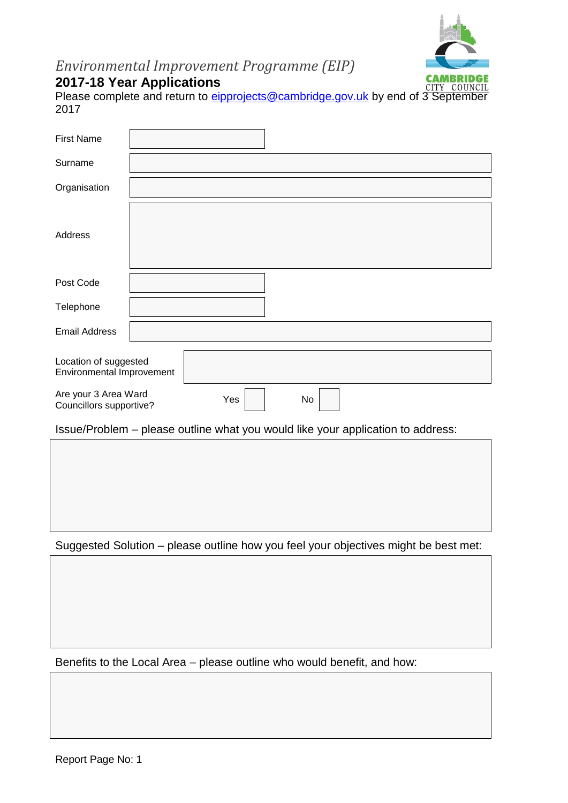

# *Environmental Improvement Programme (EIP)*

# **2017-18 Year Applications**

Please complete and return to [eipprojects@cambridge.gov.uk](mailto:eipprojects@cambridge.gov.uk) by end of 3 September 2017

| <b>First Name</b>                                  |                                                                                                                                                                                                                                                                                                                                                                                                                                       |
|----------------------------------------------------|---------------------------------------------------------------------------------------------------------------------------------------------------------------------------------------------------------------------------------------------------------------------------------------------------------------------------------------------------------------------------------------------------------------------------------------|
| Surname                                            |                                                                                                                                                                                                                                                                                                                                                                                                                                       |
| Organisation                                       |                                                                                                                                                                                                                                                                                                                                                                                                                                       |
| Address                                            |                                                                                                                                                                                                                                                                                                                                                                                                                                       |
| Post Code                                          |                                                                                                                                                                                                                                                                                                                                                                                                                                       |
| Telephone                                          |                                                                                                                                                                                                                                                                                                                                                                                                                                       |
| <b>Email Address</b>                               |                                                                                                                                                                                                                                                                                                                                                                                                                                       |
| Location of suggested<br>Environmental Improvement |                                                                                                                                                                                                                                                                                                                                                                                                                                       |
| Are your 3 Area Ward<br>Councillors supportive?    | Yes<br>No                                                                                                                                                                                                                                                                                                                                                                                                                             |
|                                                    | $\overline{1}$ $\overline{1}$ $\overline{1}$ $\overline{1}$ $\overline{1}$ $\overline{1}$ $\overline{1}$ $\overline{1}$ $\overline{1}$ $\overline{1}$ $\overline{1}$ $\overline{1}$ $\overline{1}$ $\overline{1}$ $\overline{1}$ $\overline{1}$ $\overline{1}$ $\overline{1}$ $\overline{1}$ $\overline{1}$ $\overline{1}$ $\overline{1}$ $\overline{1}$ $\overline{1}$ $\overline{$<br>the contract of the contract of the con-<br>. |

Issue/Problem – please outline what you would like your application to address:

Suggested Solution – please outline how you feel your objectives might be best met:

Benefits to the Local Area – please outline who would benefit, and how: